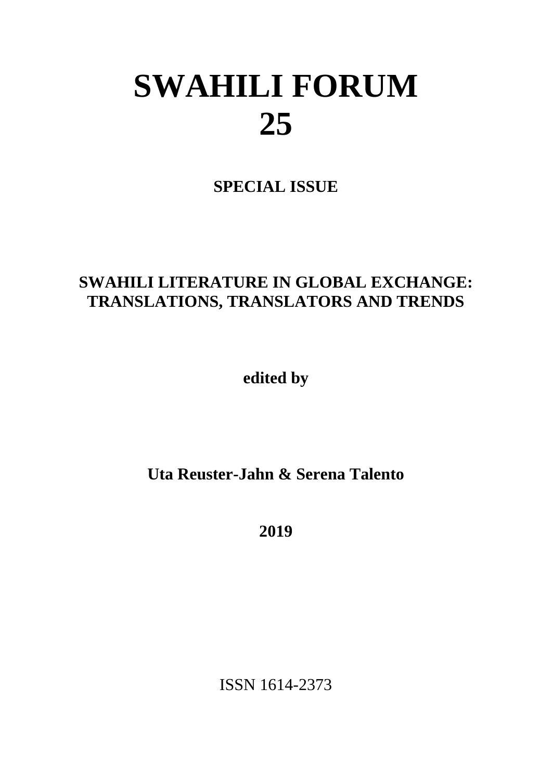# **SWAHILI FORUM 25**

**SPECIAL ISSUE**

## **SWAHILI LITERATURE IN GLOBAL EXCHANGE: TRANSLATIONS, TRANSLATORS AND TRENDS**

**edited by**

**Uta Reuster-Jahn & Serena Talento**

**2019**

ISSN 1614-2373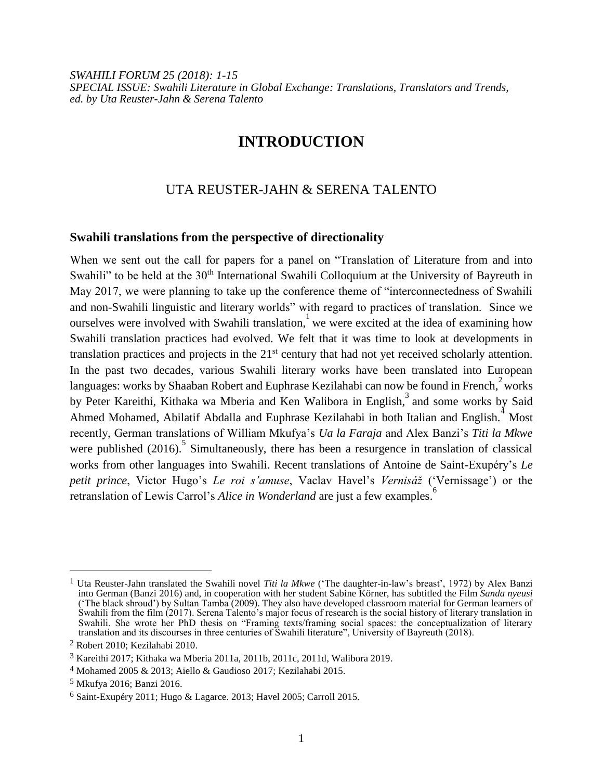*SWAHILI FORUM 25 (2018): 1-15 SPECIAL ISSUE: Swahili Literature in Global Exchange: Translations, Translators and Trends, ed. by Uta Reuster-Jahn & Serena Talento*

### **INTRODUCTION**

#### UTA REUSTER-JAHN & SERENA TALENTO

#### **Swahili translations from the perspective of directionality**

When we sent out the call for papers for a panel on "Translation of Literature from and into Swahili" to be held at the 30<sup>th</sup> International Swahili Colloquium at the University of Bayreuth in May 2017, we were planning to take up the conference theme of "interconnectedness of Swahili and non-Swahili linguistic and literary worlds" with regard to practices of translation. Since we ourselves were involved with Swahili translation, we were excited at the idea of examining how Swahili translation practices had evolved. We felt that it was time to look at developments in translation practices and projects in the 21<sup>st</sup> century that had not yet received scholarly attention. In the past two decades, various Swahili literary works have been translated into European languages: works by Shaaban Robert and Euphrase Kezilahabi can now be found in French, works by Peter Kareithi, Kithaka wa Mberia and Ken Walibora in English,<sup>3</sup> and some works by Said Ahmed Mohamed, Abilatif Abdalla and Euphrase Kezilahabi in both Italian and English.<sup>4</sup> Most recently, German translations of William Mkufya's *Ua la Faraja* and Alex Banzi's *Titi la Mkwe* were published  $(2016)$ .<sup>5</sup> Simultaneously, there has been a resurgence in translation of classical works from other languages into Swahili. Recent translations of Antoine de Saint-Exupéry's *Le petit prince*, Victor Hugo's *Le roi s'amuse*, Vaclav Havel's *Vernisáž* ('Vernissage') or the retranslation of Lewis Carrol's *Alice in Wonderland* are just a few examples.<sup>6</sup>

<sup>1</sup> Uta Reuster-Jahn translated the Swahili novel *Titi la Mkwe* ('The daughter-in-law's breast', 1972) by Alex Banzi into German (Banzi 2016) and, in cooperation with her student Sabine Körner, has subtitled the Film *Sanda nyeusi* ('The black shroud') by Sultan Tamba (2009). They also have developed classroom material for German learners of Swahili from the film (2017). Serena Talento's major focus of research is the social history of literary translation in Swahili. She wrote her PhD thesis on "Framing texts/framing social spaces: the conceptualization of literary translation and its discourses in three centuries of Swahili literature", University of Bayreuth (2018).

<sup>2</sup> Robert 2010; Kezilahabi 2010.

<sup>3</sup> Kareithi 2017; Kithaka wa Mberia 2011a, 2011b, 2011c, 2011d, Walibora 2019.

<sup>4</sup> Mohamed 2005 & 2013; Aiello & Gaudioso 2017; Kezilahabi 2015.

<sup>5</sup> Mkufya 2016; Banzi 2016.

<sup>6</sup> Saint-Exupéry 2011; Hugo & Lagarce. 2013; Havel 2005; Carroll 2015.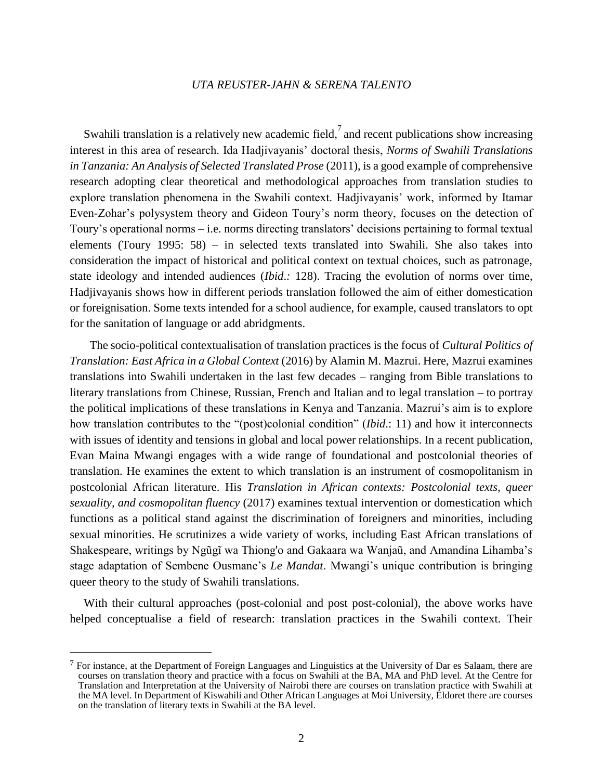Swahili translation is a relatively new academic field,  $\frac{7}{4}$  and recent publications show increasing interest in this area of research. Ida Hadjivayanis' doctoral thesis, *Norms of Swahili Translations*  in Tanzania: An Analysis of Selected Translated Prose (2011), is a good example of comprehensive research adopting clear theoretical and methodological approaches from translation studies to explore translation phenomena in the Swahili context. Hadjivayanis' work, informed by Itamar Even-Zohar's polysystem theory and Gideon Toury's norm theory, focuses on the detection of Toury's operational norms – i.e. norms directing translators' decisions pertaining to formal textual elements (Toury 1995: 58) – in selected texts translated into Swahili. She also takes into consideration the impact of historical and political context on textual choices, such as patronage, state ideology and intended audiences (*Ibid*.*:* 128). Tracing the evolution of norms over time, Hadjivayanis shows how in different periods translation followed the aim of either domestication or foreignisation. Some texts intended for a school audience, for example, caused translators to opt for the sanitation of language or add abridgments.

 The socio-political contextualisation of translation practices is the focus of *Cultural Politics of Translation: East Africa in a Global Context* (2016) by Alamin M. Mazrui. Here, Mazrui examines translations into Swahili undertaken in the last few decades – ranging from Bible translations to literary translations from Chinese, Russian, French and Italian and to legal translation – to portray the political implications of these translations in Kenya and Tanzania. Mazrui's aim is to explore how translation contributes to the "(post)colonial condition" (*Ibid*.: 11) and how it interconnects with issues of identity and tensions in global and local power relationships. In a recent publication, Evan Maina Mwangi engages with a wide range of foundational and postcolonial theories of translation. He examines the extent to which translation is an instrument of cosmopolitanism in postcolonial African literature. His *Translation in African contexts: Postcolonial texts, queer sexuality, and cosmopolitan fluency* (2017) examines textual intervention or domestication which functions as a political stand against the discrimination of foreigners and minorities, including sexual minorities. He scrutinizes a wide variety of works, including East African translations of Shakespeare, writings by Ngũgĩ wa Thiong'o and Gakaara wa Wanjaũ, and Amandina Lihamba's stage adaptation of Sembene Ousmane's *Le Mandat*. Mwangi's unique contribution is bringing queer theory to the study of Swahili translations.

With their cultural approaches (post-colonial and post post-colonial), the above works have helped conceptualise a field of research: translation practices in the Swahili context. Their

<sup>7</sup> For instance, at the Department of Foreign Languages and Linguistics at the University of Dar es Salaam, there are courses on translation theory and practice with a focus on Swahili at the BA, MA and PhD level. At the Centre for Translation and Interpretation at the University of Nairobi there are courses on translation practice with Swahili at the MA level. In Department of Kiswahili and Other African Languages at Moi University, Eldoret there are courses on the translation of literary texts in Swahili at the BA level.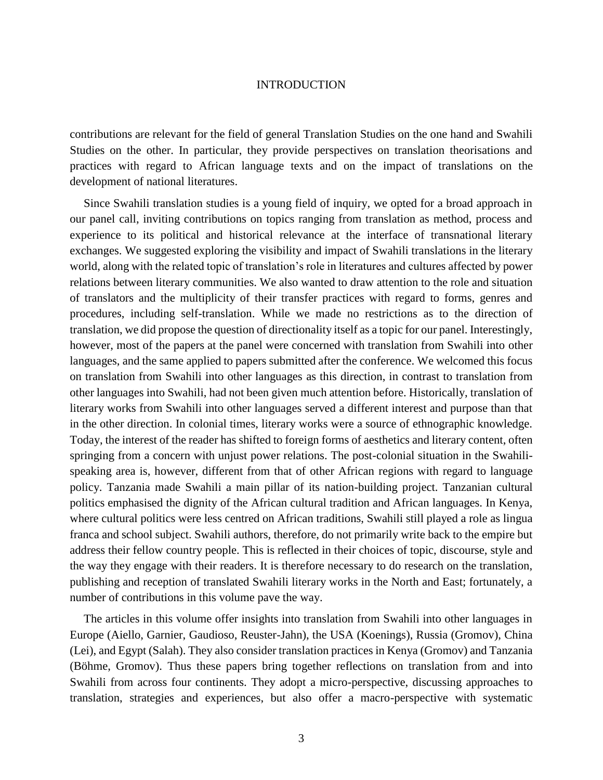contributions are relevant for the field of general Translation Studies on the one hand and Swahili Studies on the other. In particular, they provide perspectives on translation theorisations and practices with regard to African language texts and on the impact of translations on the development of national literatures.

Since Swahili translation studies is a young field of inquiry, we opted for a broad approach in our panel call, inviting contributions on topics ranging from translation as method, process and experience to its political and historical relevance at the interface of transnational literary exchanges. We suggested exploring the visibility and impact of Swahili translations in the literary world, along with the related topic of translation's role in literatures and cultures affected by power relations between literary communities. We also wanted to draw attention to the role and situation of translators and the multiplicity of their transfer practices with regard to forms, genres and procedures, including self-translation. While we made no restrictions as to the direction of translation, we did propose the question of directionality itself as a topic for our panel. Interestingly, however, most of the papers at the panel were concerned with translation from Swahili into other languages, and the same applied to papers submitted after the conference. We welcomed this focus on translation from Swahili into other languages as this direction, in contrast to translation from other languages into Swahili, had not been given much attention before. Historically, translation of literary works from Swahili into other languages served a different interest and purpose than that in the other direction. In colonial times, literary works were a source of ethnographic knowledge. Today, the interest of the reader has shifted to foreign forms of aesthetics and literary content, often springing from a concern with unjust power relations. The post-colonial situation in the Swahilispeaking area is, however, different from that of other African regions with regard to language policy. Tanzania made Swahili a main pillar of its nation-building project. Tanzanian cultural politics emphasised the dignity of the African cultural tradition and African languages. In Kenya, where cultural politics were less centred on African traditions, Swahili still played a role as lingua franca and school subject. Swahili authors, therefore, do not primarily write back to the empire but address their fellow country people. This is reflected in their choices of topic, discourse, style and the way they engage with their readers. It is therefore necessary to do research on the translation, publishing and reception of translated Swahili literary works in the North and East; fortunately, a number of contributions in this volume pave the way.

The articles in this volume offer insights into translation from Swahili into other languages in Europe (Aiello, Garnier, Gaudioso, Reuster-Jahn), the USA (Koenings), Russia (Gromov), China (Lei), and Egypt (Salah). They also consider translation practices in Kenya (Gromov) and Tanzania (Böhme, Gromov). Thus these papers bring together reflections on translation from and into Swahili from across four continents. They adopt a micro-perspective, discussing approaches to translation, strategies and experiences, but also offer a macro-perspective with systematic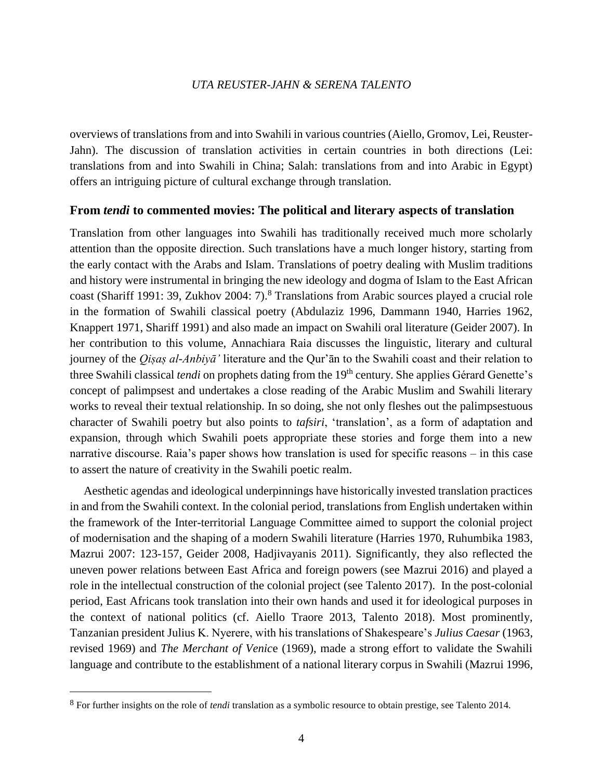overviews of translations from and into Swahili in various countries (Aiello, Gromov, Lei, Reuster-Jahn). The discussion of translation activities in certain countries in both directions (Lei: translations from and into Swahili in China; Salah: translations from and into Arabic in Egypt) offers an intriguing picture of cultural exchange through translation.

#### **From** *tendi* **to commented movies: The political and literary aspects of translation**

Translation from other languages into Swahili has traditionally received much more scholarly attention than the opposite direction. Such translations have a much longer history, starting from the early contact with the Arabs and Islam. Translations of poetry dealing with Muslim traditions and history were instrumental in bringing the new ideology and dogma of Islam to the East African coast (Shariff 1991: 39, Zukhov 2004: 7).<sup>8</sup> Translations from Arabic sources played a crucial role in the formation of Swahili classical poetry (Abdulaziz 1996, Dammann 1940, Harries 1962, Knappert 1971, Shariff 1991) and also made an impact on Swahili oral literature (Geider 2007). In her contribution to this volume, Annachiara Raia discusses the linguistic, literary and cultural journey of the *Qiṣaṣ al-Anbiyā'* literature and the Qur'ān to the Swahili coast and their relation to three Swahili classical *tendi* on prophets dating from the 19<sup>th</sup> century. She applies Gérard Genette's concept of palimpsest and undertakes a close reading of the Arabic Muslim and Swahili literary works to reveal their textual relationship. In so doing, she not only fleshes out the palimpsestuous character of Swahili poetry but also points to *tafsiri*, 'translation', as a form of adaptation and expansion, through which Swahili poets appropriate these stories and forge them into a new narrative discourse. Raia's paper shows how translation is used for specific reasons – in this case to assert the nature of creativity in the Swahili poetic realm.

Aesthetic agendas and ideological underpinnings have historically invested translation practices in and from the Swahili context. In the colonial period, translations from English undertaken within the framework of the Inter-territorial Language Committee aimed to support the colonial project of modernisation and the shaping of a modern Swahili literature (Harries 1970, Ruhumbika 1983, Mazrui 2007: 123-157, Geider 2008, Hadjivayanis 2011). Significantly, they also reflected the uneven power relations between East Africa and foreign powers (see Mazrui 2016) and played a role in the intellectual construction of the colonial project (see Talento 2017). In the post-colonial period, East Africans took translation into their own hands and used it for ideological purposes in the context of national politics (cf. Aiello Traore 2013, Talento 2018). Most prominently, Tanzanian president Julius K. Nyerere, with his translations of Shakespeare's *Julius Caesar* (1963, revised 1969) and *The Merchant of Venic*e (1969), made a strong effort to validate the Swahili language and contribute to the establishment of a national literary corpus in Swahili (Mazrui 1996,

<sup>8</sup> For further insights on the role of *tendi* translation as a symbolic resource to obtain prestige, see Talento 2014.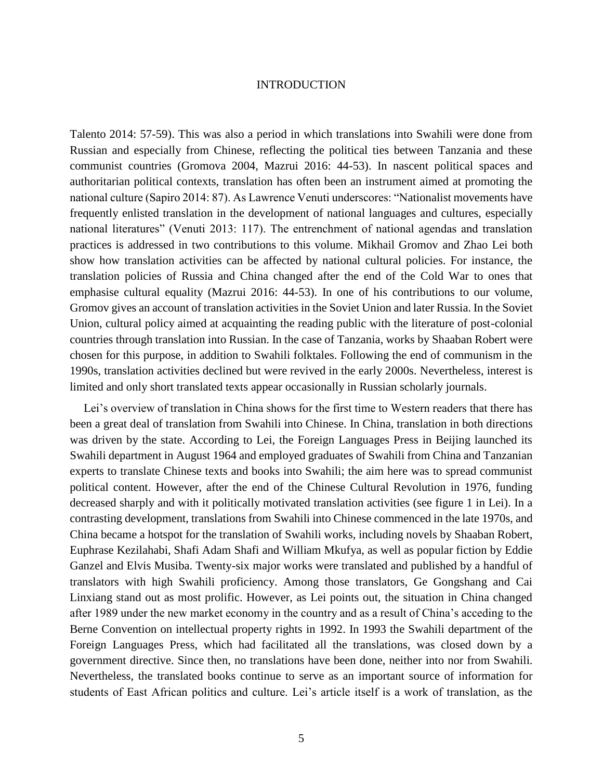Talento 2014: 57-59). This was also a period in which translations into Swahili were done from Russian and especially from Chinese, reflecting the political ties between Tanzania and these communist countries (Gromova 2004, Mazrui 2016: 44-53). In nascent political spaces and authoritarian political contexts, translation has often been an instrument aimed at promoting the national culture (Sapiro 2014: 87). As Lawrence Venuti underscores: "Nationalist movements have frequently enlisted translation in the development of national languages and cultures, especially national literatures" (Venuti 2013: 117). The entrenchment of national agendas and translation practices is addressed in two contributions to this volume. Mikhail Gromov and Zhao Lei both show how translation activities can be affected by national cultural policies. For instance, the translation policies of Russia and China changed after the end of the Cold War to ones that emphasise cultural equality (Mazrui 2016: 44-53). In one of his contributions to our volume, Gromov gives an account of translation activities in the Soviet Union and later Russia. In the Soviet Union, cultural policy aimed at acquainting the reading public with the literature of post-colonial countries through translation into Russian. In the case of Tanzania, works by Shaaban Robert were chosen for this purpose, in addition to Swahili folktales. Following the end of communism in the 1990s, translation activities declined but were revived in the early 2000s. Nevertheless, interest is limited and only short translated texts appear occasionally in Russian scholarly journals.

Lei's overview of translation in China shows for the first time to Western readers that there has been a great deal of translation from Swahili into Chinese. In China, translation in both directions was driven by the state. According to Lei, the Foreign Languages Press in Beijing launched its Swahili department in August 1964 and employed graduates of Swahili from China and Tanzanian experts to translate Chinese texts and books into Swahili; the aim here was to spread communist political content. However, after the end of the Chinese Cultural Revolution in 1976, funding decreased sharply and with it politically motivated translation activities (see figure 1 in Lei). In a contrasting development, translations from Swahili into Chinese commenced in the late 1970s, and China became a hotspot for the translation of Swahili works, including novels by Shaaban Robert, Euphrase Kezilahabi, Shafi Adam Shafi and William Mkufya, as well as popular fiction by Eddie Ganzel and Elvis Musiba. Twenty-six major works were translated and published by a handful of translators with high Swahili proficiency. Among those translators, Ge Gongshang and Cai Linxiang stand out as most prolific. However, as Lei points out, the situation in China changed after 1989 under the new market economy in the country and as a result of China's acceding to the Berne Convention on intellectual property rights in 1992. In 1993 the Swahili department of the Foreign Languages Press, which had facilitated all the translations, was closed down by a government directive. Since then, no translations have been done, neither into nor from Swahili. Nevertheless, the translated books continue to serve as an important source of information for students of East African politics and culture. Lei's article itself is a work of translation, as the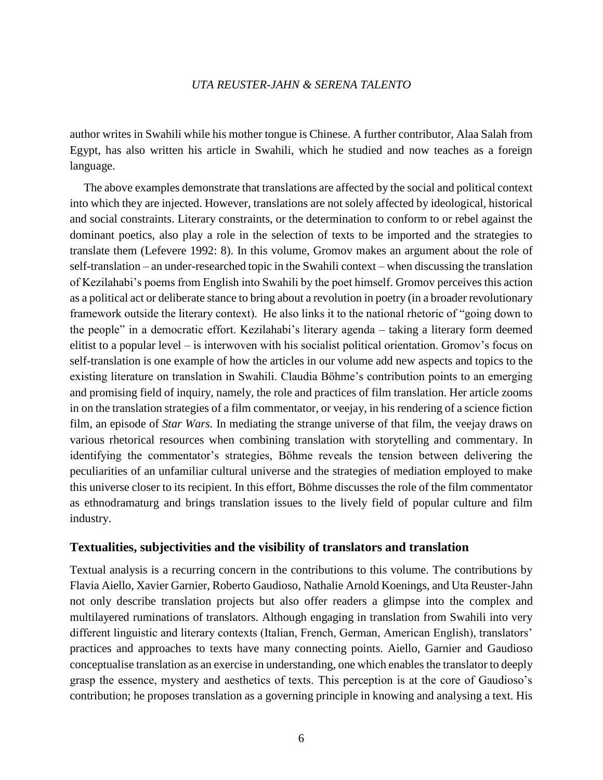author writes in Swahili while his mother tongue is Chinese. A further contributor, Alaa Salah from Egypt, has also written his article in Swahili, which he studied and now teaches as a foreign language.

The above examples demonstrate that translations are affected by the social and political context into which they are injected. However, translations are not solely affected by ideological, historical and social constraints. Literary constraints, or the determination to conform to or rebel against the dominant poetics, also play a role in the selection of texts to be imported and the strategies to translate them (Lefevere 1992: 8). In this volume, Gromov makes an argument about the role of self-translation – an under-researched topic in the Swahili context – when discussing the translation of Kezilahabi's poems from English into Swahili by the poet himself. Gromov perceives this action as a political act or deliberate stance to bring about a revolution in poetry (in a broader revolutionary framework outside the literary context). He also links it to the national rhetoric of "going down to the people" in a democratic effort. Kezilahabi's literary agenda – taking a literary form deemed elitist to a popular level – is interwoven with his socialist political orientation. Gromov's focus on self-translation is one example of how the articles in our volume add new aspects and topics to the existing literature on translation in Swahili. Claudia Böhme's contribution points to an emerging and promising field of inquiry, namely, the role and practices of film translation. Her article zooms in on the translation strategies of a film commentator, or veejay, in his rendering of a science fiction film, an episode of *Star Wars.* In mediating the strange universe of that film, the veejay draws on various rhetorical resources when combining translation with storytelling and commentary. In identifying the commentator's strategies, Böhme reveals the tension between delivering the peculiarities of an unfamiliar cultural universe and the strategies of mediation employed to make this universe closer to its recipient. In this effort, Böhme discusses the role of the film commentator as ethnodramaturg and brings translation issues to the lively field of popular culture and film industry.

#### **Textualities, subjectivities and the visibility of translators and translation**

Textual analysis is a recurring concern in the contributions to this volume. The contributions by Flavia Aiello, Xavier Garnier, Roberto Gaudioso, Nathalie Arnold Koenings, and Uta Reuster-Jahn not only describe translation projects but also offer readers a glimpse into the complex and multilayered ruminations of translators. Although engaging in translation from Swahili into very different linguistic and literary contexts (Italian, French, German, American English), translators' practices and approaches to texts have many connecting points. Aiello, Garnier and Gaudioso conceptualise translation as an exercise in understanding, one which enables the translator to deeply grasp the essence, mystery and aesthetics of texts. This perception is at the core of Gaudioso's contribution; he proposes translation as a governing principle in knowing and analysing a text. His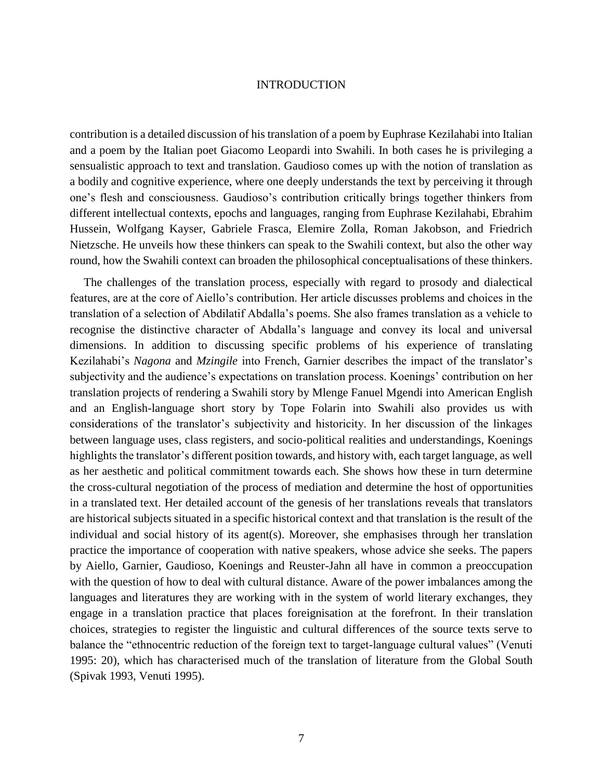contribution is a detailed discussion of his translation of a poem by Euphrase Kezilahabi into Italian and a poem by the Italian poet Giacomo Leopardi into Swahili. In both cases he is privileging a sensualistic approach to text and translation. Gaudioso comes up with the notion of translation as a bodily and cognitive experience, where one deeply understands the text by perceiving it through one's flesh and consciousness. Gaudioso's contribution critically brings together thinkers from different intellectual contexts, epochs and languages, ranging from Euphrase Kezilahabi, Ebrahim Hussein, Wolfgang Kayser, Gabriele Frasca, Elemire Zolla, Roman Jakobson, and Friedrich Nietzsche. He unveils how these thinkers can speak to the Swahili context, but also the other way round, how the Swahili context can broaden the philosophical conceptualisations of these thinkers.

The challenges of the translation process, especially with regard to prosody and dialectical features, are at the core of Aiello's contribution. Her article discusses problems and choices in the translation of a selection of Abdilatif Abdalla's poems. She also frames translation as a vehicle to recognise the distinctive character of Abdalla's language and convey its local and universal dimensions. In addition to discussing specific problems of his experience of translating Kezilahabi's *Nagona* and *Mzingile* into French, Garnier describes the impact of the translator's subjectivity and the audience's expectations on translation process. Koenings' contribution on her translation projects of rendering a Swahili story by Mlenge Fanuel Mgendi into American English and an English-language short story by Tope Folarin into Swahili also provides us with considerations of the translator's subjectivity and historicity. In her discussion of the linkages between language uses, class registers, and socio-political realities and understandings, Koenings highlights the translator's different position towards, and history with, each target language, as well as her aesthetic and political commitment towards each. She shows how these in turn determine the cross-cultural negotiation of the process of mediation and determine the host of opportunities in a translated text. Her detailed account of the genesis of her translations reveals that translators are historical subjects situated in a specific historical context and that translation is the result of the individual and social history of its agent(s). Moreover, she emphasises through her translation practice the importance of cooperation with native speakers, whose advice she seeks. The papers by Aiello, Garnier, Gaudioso, Koenings and Reuster-Jahn all have in common a preoccupation with the question of how to deal with cultural distance. Aware of the power imbalances among the languages and literatures they are working with in the system of world literary exchanges, they engage in a translation practice that places foreignisation at the forefront. In their translation choices, strategies to register the linguistic and cultural differences of the source texts serve to balance the "ethnocentric reduction of the foreign text to target-language cultural values" (Venuti 1995: 20), which has characterised much of the translation of literature from the Global South (Spivak 1993, Venuti 1995).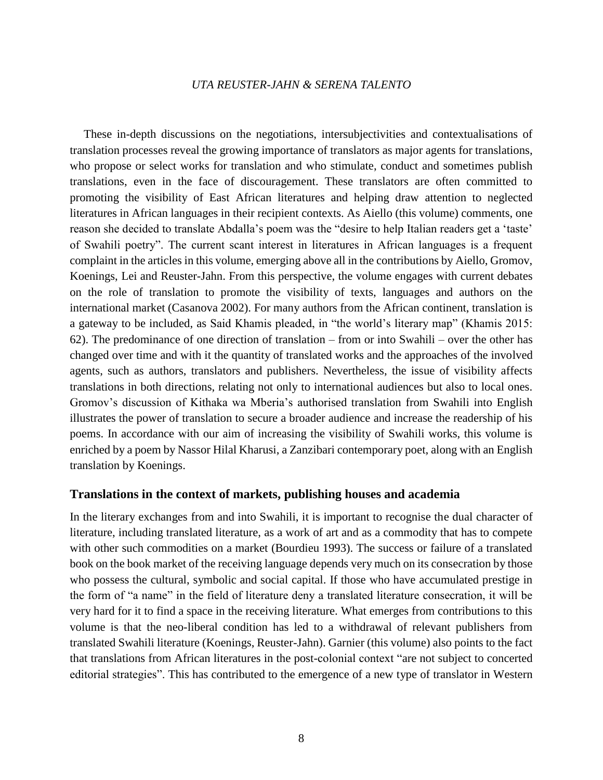These in-depth discussions on the negotiations, intersubjectivities and contextualisations of translation processes reveal the growing importance of translators as major agents for translations, who propose or select works for translation and who stimulate, conduct and sometimes publish translations, even in the face of discouragement. These translators are often committed to promoting the visibility of East African literatures and helping draw attention to neglected literatures in African languages in their recipient contexts. As Aiello (this volume) comments, one reason she decided to translate Abdalla's poem was the "desire to help Italian readers get a 'taste' of Swahili poetry". The current scant interest in literatures in African languages is a frequent complaint in the articles in this volume, emerging above all in the contributions by Aiello, Gromov, Koenings, Lei and Reuster-Jahn. From this perspective, the volume engages with current debates on the role of translation to promote the visibility of texts, languages and authors on the international market (Casanova 2002). For many authors from the African continent, translation is a gateway to be included, as Said Khamis pleaded, in "the world's literary map" (Khamis 2015: 62). The predominance of one direction of translation – from or into Swahili – over the other has changed over time and with it the quantity of translated works and the approaches of the involved agents, such as authors, translators and publishers. Nevertheless, the issue of visibility affects translations in both directions, relating not only to international audiences but also to local ones. Gromov's discussion of Kithaka wa Mberia's authorised translation from Swahili into English illustrates the power of translation to secure a broader audience and increase the readership of his poems. In accordance with our aim of increasing the visibility of Swahili works, this volume is enriched by a poem by Nassor Hilal Kharusi, a Zanzibari contemporary poet, along with an English translation by Koenings.

#### **Translations in the context of markets, publishing houses and academia**

In the literary exchanges from and into Swahili, it is important to recognise the dual character of literature, including translated literature, as a work of art and as a commodity that has to compete with other such commodities on a market (Bourdieu 1993). The success or failure of a translated book on the book market of the receiving language depends very much on its consecration by those who possess the cultural, symbolic and social capital. If those who have accumulated prestige in the form of "a name" in the field of literature deny a translated literature consecration, it will be very hard for it to find a space in the receiving literature. What emerges from contributions to this volume is that the neo-liberal condition has led to a withdrawal of relevant publishers from translated Swahili literature (Koenings, Reuster-Jahn). Garnier (this volume) also points to the fact that translations from African literatures in the post-colonial context "are not subject to concerted editorial strategies". This has contributed to the emergence of a new type of translator in Western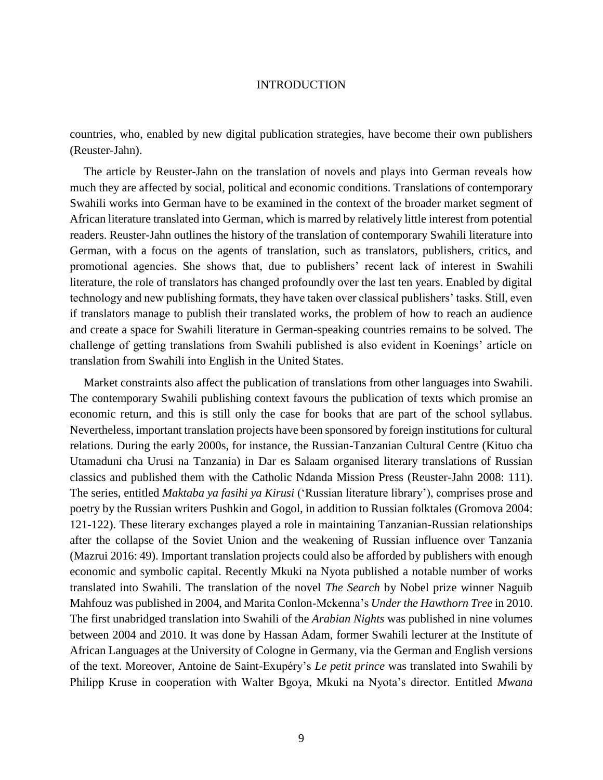countries, who, enabled by new digital publication strategies, have become their own publishers (Reuster-Jahn).

The article by Reuster-Jahn on the translation of novels and plays into German reveals how much they are affected by social, political and economic conditions. Translations of contemporary Swahili works into German have to be examined in the context of the broader market segment of African literature translated into German, which is marred by relatively little interest from potential readers. Reuster-Jahn outlines the history of the translation of contemporary Swahili literature into German, with a focus on the agents of translation, such as translators, publishers, critics, and promotional agencies. She shows that, due to publishers' recent lack of interest in Swahili literature, the role of translators has changed profoundly over the last ten years. Enabled by digital technology and new publishing formats, they have taken over classical publishers' tasks. Still, even if translators manage to publish their translated works, the problem of how to reach an audience and create a space for Swahili literature in German-speaking countries remains to be solved. The challenge of getting translations from Swahili published is also evident in Koenings' article on translation from Swahili into English in the United States.

Market constraints also affect the publication of translations from other languages into Swahili. The contemporary Swahili publishing context favours the publication of texts which promise an economic return, and this is still only the case for books that are part of the school syllabus. Nevertheless, important translation projects have been sponsored by foreign institutions for cultural relations. During the early 2000s, for instance, the Russian-Tanzanian Cultural Centre (Kituo cha Utamaduni cha Urusi na Tanzania) in Dar es Salaam organised literary translations of Russian classics and published them with the Catholic Ndanda Mission Press (Reuster-Jahn 2008: 111). The series, entitled *Maktaba ya fasihi ya Kirusi* ('Russian literature library'), comprises prose and poetry by the Russian writers Pushkin and Gogol, in addition to Russian folktales (Gromova 2004: 121-122). These literary exchanges played a role in maintaining Tanzanian-Russian relationships after the collapse of the Soviet Union and the weakening of Russian influence over Tanzania (Mazrui 2016: 49). Important translation projects could also be afforded by publishers with enough economic and symbolic capital. Recently Mkuki na Nyota published a notable number of works translated into Swahili. The translation of the novel *The Search* by Nobel prize winner Naguib Mahfouz was published in 2004, and Marita Conlon-Mckenna's *Under the Hawthorn Tree* in 2010. The first unabridged translation into Swahili of the *Arabian Nights* was published in nine volumes between 2004 and 2010. It was done by Hassan Adam, former Swahili lecturer at the Institute of African Languages at the University of Cologne in Germany, via the German and English versions of the text. Moreover, Antoine de Saint-Exupéry's *Le petit prince* was translated into Swahili by Philipp Kruse in cooperation with Walter Bgoya, Mkuki na Nyota's director. Entitled *Mwana*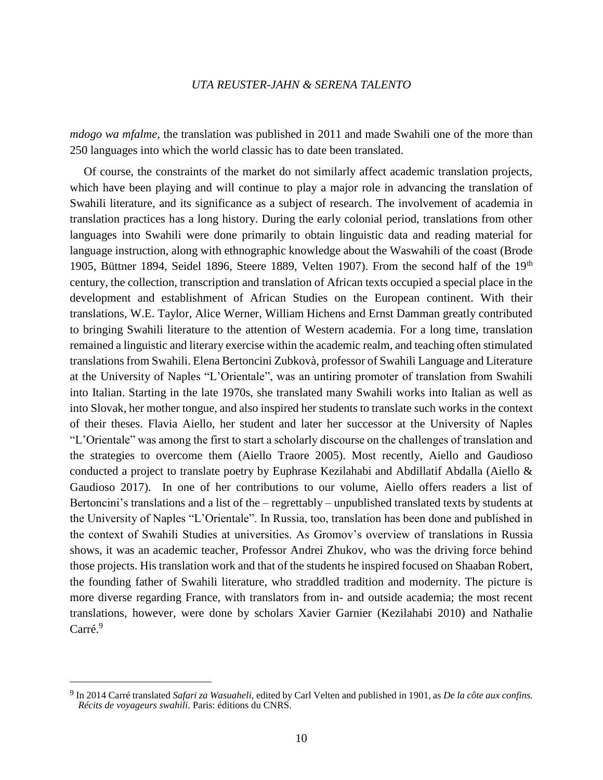*mdogo wa mfalme,* the translation was published in 2011 and made Swahili one of the more than 250 languages into which the world classic has to date been translated.

Of course, the constraints of the market do not similarly affect academic translation projects, which have been playing and will continue to play a major role in advancing the translation of Swahili literature, and its significance as a subject of research. The involvement of academia in translation practices has a long history. During the early colonial period, translations from other languages into Swahili were done primarily to obtain linguistic data and reading material for language instruction, along with ethnographic knowledge about the Waswahili of the coast (Brode 1905, Büttner 1894, Seidel 1896, Steere 1889, Velten 1907). From the second half of the  $19<sup>th</sup>$ century, the collection, transcription and translation of African texts occupied a special place in the development and establishment of African Studies on the European continent. With their translations, W.E. Taylor, Alice Werner, William Hichens and Ernst Damman greatly contributed to bringing Swahili literature to the attention of Western academia. For a long time, translation remained a linguistic and literary exercise within the academic realm, and teaching often stimulated translations from Swahili. Elena Bertoncini Zubkovà, professor of Swahili Language and Literature at the University of Naples "L'Orientale", was an untiring promoter of translation from Swahili into Italian. Starting in the late 1970s, she translated many Swahili works into Italian as well as into Slovak, her mother tongue, and also inspired her students to translate such works in the context of their theses. Flavia Aiello, her student and later her successor at the University of Naples "L'Orientale" was among the first to start a scholarly discourse on the challenges of translation and the strategies to overcome them (Aiello Traore 2005). Most recently, Aiello and Gaudioso conducted a project to translate poetry by Euphrase Kezilahabi and Abdillatif Abdalla (Aiello & Gaudioso 2017). In one of her contributions to our volume, Aiello offers readers a list of Bertoncini's translations and a list of the – regrettably – unpublished translated texts by students at the University of Naples "L'Orientale". In Russia, too, translation has been done and published in the context of Swahili Studies at universities. As Gromov's overview of translations in Russia shows, it was an academic teacher, Professor Andrei Zhukov, who was the driving force behind those projects. His translation work and that of the students he inspired focused on Shaaban Robert, the founding father of Swahili literature, who straddled tradition and modernity. The picture is more diverse regarding France, with translators from in- and outside academia; the most recent translations, however, were done by scholars Xavier Garnier (Kezilahabi 2010) and Nathalie Carré.<sup>9</sup>

<sup>9</sup> In 2014 Carré translated *Safari za Wasuaheli*, edited by Carl Velten and published in 1901, as *De la côte aux confins. Récits de voyageurs swahili*. Paris: éditions du CNRS.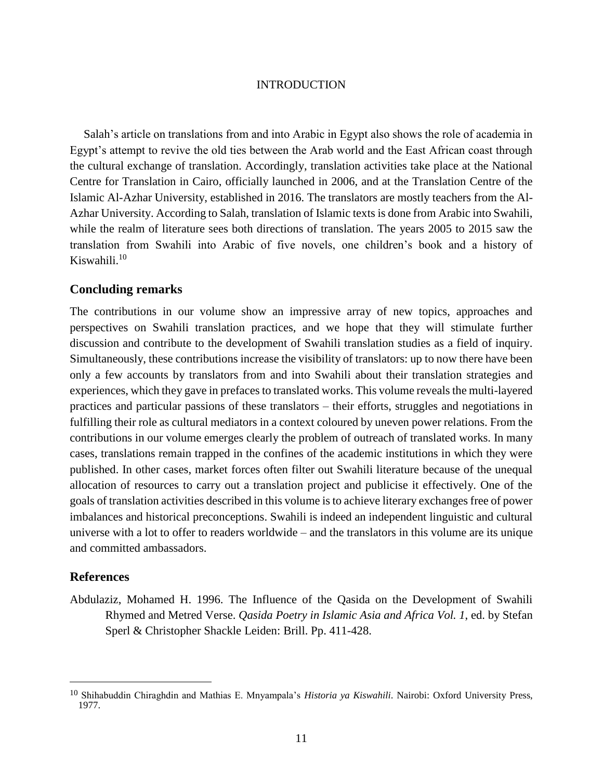Salah's article on translations from and into Arabic in Egypt also shows the role of academia in Egypt's attempt to revive the old ties between the Arab world and the East African coast through the cultural exchange of translation. Accordingly, translation activities take place at the National Centre for Translation in Cairo, officially launched in 2006, and at the Translation Centre of the Islamic Al-Azhar University, established in 2016. The translators are mostly teachers from the Al-Azhar University. According to Salah, translation of Islamic texts is done from Arabic into Swahili, while the realm of literature sees both directions of translation. The years 2005 to 2015 saw the translation from Swahili into Arabic of five novels, one children's book and a history of Kiswahili.<sup>10</sup>

#### **Concluding remarks**

The contributions in our volume show an impressive array of new topics, approaches and perspectives on Swahili translation practices, and we hope that they will stimulate further discussion and contribute to the development of Swahili translation studies as a field of inquiry. Simultaneously, these contributions increase the visibility of translators: up to now there have been only a few accounts by translators from and into Swahili about their translation strategies and experiences, which they gave in prefaces to translated works. This volume reveals the multi-layered practices and particular passions of these translators – their efforts, struggles and negotiations in fulfilling their role as cultural mediators in a context coloured by uneven power relations. From the contributions in our volume emerges clearly the problem of outreach of translated works. In many cases, translations remain trapped in the confines of the academic institutions in which they were published. In other cases, market forces often filter out Swahili literature because of the unequal allocation of resources to carry out a translation project and publicise it effectively. One of the goals of translation activities described in this volume is to achieve literary exchanges free of power imbalances and historical preconceptions. Swahili is indeed an independent linguistic and cultural universe with a lot to offer to readers worldwide – and the translators in this volume are its unique and committed ambassadors.

#### **References**

 $\overline{a}$ 

Abdulaziz, Mohamed H. 1996. The Influence of the Qasida on the Development of Swahili Rhymed and Metred Verse. *Qasida Poetry in Islamic Asia and Africa Vol. 1*, ed. by Stefan Sperl & Christopher Shackle Leiden: Brill. Pp. 411-428.

<sup>10</sup> Shihabuddin Chiraghdin and Mathias E. Mnyampala's *Historia ya Kiswahili*. Nairobi: Oxford University Press, 1977.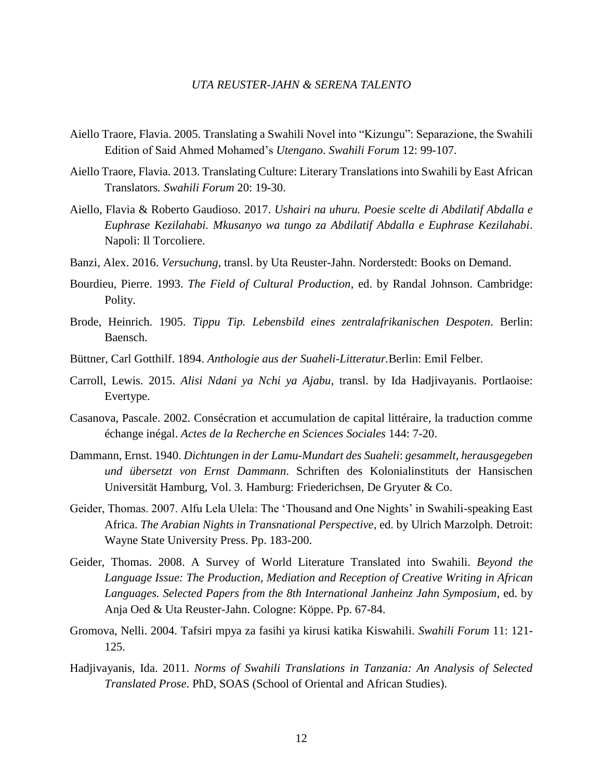- Aiello Traore, Flavia. 2005. Translating a Swahili Novel into "Kizungu": Separazione, the Swahili Edition of Said Ahmed Mohamed's *Utengano*. *Swahili Forum* 12: 99-107.
- Aiello Traore, Flavia. 2013. Translating Culture: Literary Translations into Swahili by East African Translators*. Swahili Forum* 20: 19-30.
- Aiello, Flavia & Roberto Gaudioso. 2017. *Ushairi na uhuru. Poesie scelte di Abdilatif Abdalla e Euphrase Kezilahabi. Mkusanyo wa tungo za Abdilatif Abdalla e Euphrase Kezilahabi*. Napoli: Il Torcoliere.
- Banzi, Alex. 2016. *Versuchung*, transl. by Uta Reuster-Jahn. Norderstedt: Books on Demand.
- Bourdieu, Pierre. 1993. *The Field of Cultural Production*, ed. by Randal Johnson. Cambridge: Polity.
- Brode, Heinrich. 1905. *Tippu Tip. Lebensbild eines zentralafrikanischen Despoten*. Berlin: Baensch.
- Büttner, Carl Gotthilf. 1894. *Anthologie aus der Suaheli-Litteratur.*Berlin: Emil Felber.
- Carroll, Lewis. 2015. *Alisi Ndani ya Nchi ya Ajabu*, transl. by Ida Hadjivayanis. Portlaoise: Evertype.
- Casanova, Pascale. 2002. Consécration et accumulation de capital littéraire, la traduction comme échange inégal. *Actes de la Recherche en Sciences Sociales* 144: 7-20.
- Dammann, Ernst. 1940. *Dichtungen in der Lamu-Mundart des Suaheli*: *gesammelt, herausgegeben und übersetzt von Ernst Dammann*. Schriften des Kolonialinstituts der Hansischen Universität Hamburg, Vol. 3. Hamburg: Friederichsen, De Gryuter & Co.
- Geider, Thomas. 2007. Alfu Lela Ulela: The 'Thousand and One Nights' in Swahili-speaking East Africa. *The Arabian Nights in Transnational Perspective*, ed. by Ulrich Marzolph. Detroit: Wayne State University Press. Pp. 183-200.
- Geider, Thomas. 2008. A Survey of World Literature Translated into Swahili. *Beyond the Language Issue: The Production, Mediation and Reception of Creative Writing in African Languages. Selected Papers from the 8th International Janheinz Jahn Symposium*, ed. by Anja Oed & Uta Reuster-Jahn. Cologne: Köppe. Pp. 67-84.
- Gromova, Nelli. 2004. Tafsiri mpya za fasihi ya kirusi katika Kiswahili. *Swahili Forum* 11: 121- 125.
- Hadjivayanis, Ida. 2011. *Norms of Swahili Translations in Tanzania: An Analysis of Selected Translated Prose*. PhD, SOAS (School of Oriental and African Studies).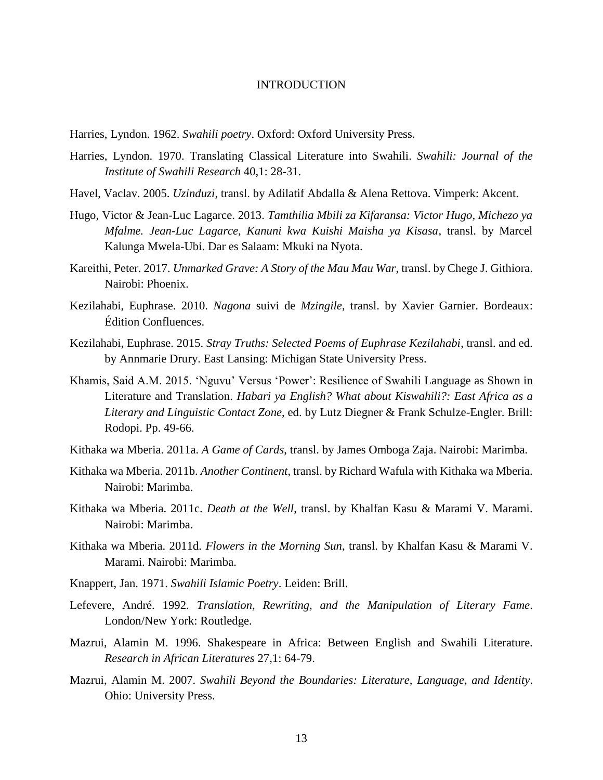Harries, Lyndon. 1962. *[Swahili poetry](http://opacol.unior.it/SebinaOpac/Opac?action=search&thNomeDocumento=X30074510T)*. Oxford: Oxford University Press.

- Harries, Lyndon. 1970. Translating Classical Literature into Swahili. *Swahili: Journal of the Institute of Swahili Research* 40,1: 28-31.
- Havel, Vaclav. 2005. *Uzinduzi*, transl. by Adilatif Abdalla & Alena Rettova. Vimperk: Akcent.
- Hugo, Victor & Jean-Luc Lagarce. 2013. *Tamthilia Mbili za Kifaransa: Victor Hugo, Michezo ya Mfalme. Jean-Luc Lagarce, Kanuni kwa Kuishi Maisha ya Kisasa*, transl. by Marcel Kalunga Mwela-Ubi. Dar es Salaam: Mkuki na Nyota.
- Kareithi, Peter. 2017. *Unmarked Grave: A Story of the Mau Mau War*, transl. by Chege J. Githiora. Nairobi: Phoenix.
- Kezilahabi, Euphrase. 2010. *Nagona* suivi de *Mzingile*, transl. by Xavier Garnier. Bordeaux: Édition Confluences.
- Kezilahabi, Euphrase. 2015. *Stray Truths: Selected Poems of Euphrase Kezilahabi*, transl. and ed. by Annmarie Drury. East Lansing: Michigan State University Press.
- Khamis, Said A.M. 2015. 'Nguvu' Versus 'Power': Resilience of Swahili Language as Shown in Literature and Translation. *Habari ya English? What about Kiswahili?: East Africa as a Literary and Linguistic Contact Zone*, ed. by Lutz Diegner & Frank Schulze-Engler. Brill: Rodopi. Pp. 49-66.
- Kithaka wa Mberia. 2011a. *A Game of Cards*, transl. by James Omboga Zaja. Nairobi: Marimba.
- Kithaka wa Mberia. 2011b. *Another Continent*, transl. by Richard Wafula with Kithaka wa Mberia. Nairobi: Marimba.
- Kithaka wa Mberia. 2011c. *Death at the Well*, transl. by Khalfan Kasu & Marami V. Marami. Nairobi: Marimba.
- Kithaka wa Mberia. 2011d. *Flowers in the Morning Sun*, transl. by Khalfan Kasu & Marami V. Marami. Nairobi: Marimba.
- Knappert, Jan. 1971. *Swahili Islamic Poetry*. Leiden: Brill.
- Lefevere, André. 1992. *Translation, Rewriting, and the Manipulation of Literary Fame*. London/New York: Routledge.
- Mazrui, Alamin M. 1996. Shakespeare in Africa: Between English and Swahili Literature. *Research in African Literatures* 27,1: 64-79.
- Mazrui, Alamin M. 2007. *Swahili Beyond the Boundaries: Literature, Language, and Identity*. Ohio: University Press.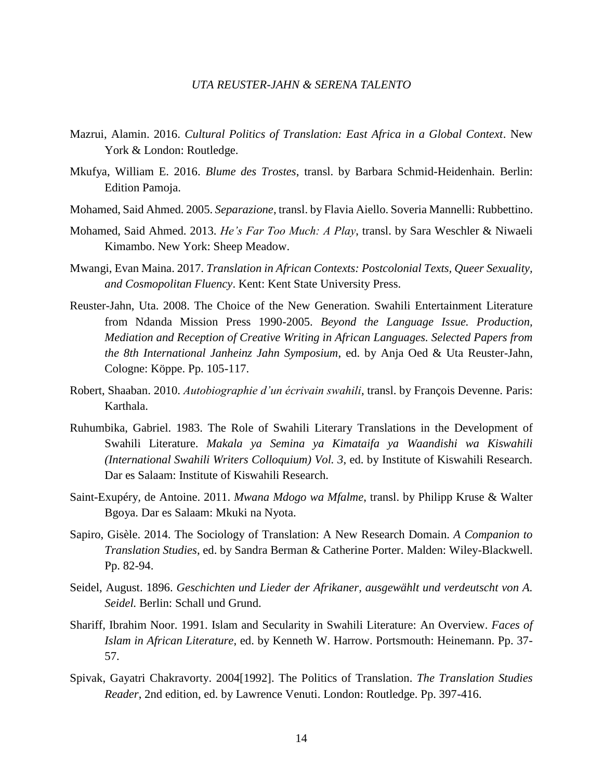- Mazrui, Alamin. 2016. *Cultural Politics of Translation: East Africa in a Global Context*. New York & London: Routledge.
- Mkufya, William E. 2016. *Blume des Trostes*, transl. by Barbara Schmid-Heidenhain. Berlin: Edition Pamoja.
- Mohamed, Said Ahmed. 2005. *Separazione*, transl. by Flavia Aiello. Soveria Mannelli: Rubbettino.
- Mohamed, Said Ahmed. 2013. *He's Far Too Much: A Play*, transl. by Sara Weschler & Niwaeli Kimambo. New York: Sheep Meadow.
- Mwangi, Evan Maina. 2017. *Translation in African Contexts: Postcolonial Texts, Queer Sexuality, and Cosmopolitan Fluency*. Kent: Kent State University Press.
- Reuster-Jahn, Uta. 2008. The Choice of the New Generation. Swahili Entertainment Literature from Ndanda Mission Press 1990-2005. *Beyond the Language Issue. Production, Mediation and Reception of Creative Writing in African Languages. Selected Papers from the 8th International Janheinz Jahn Symposium*, ed. by Anja Oed & Uta Reuster-Jahn, Cologne: Köppe. Pp. 105-117.
- Robert, Shaaban. 2010. *Autobiographie d'un écrivain swahili*, transl. by François Devenne. Paris: Karthala.
- Ruhumbika, Gabriel. 1983. The Role of Swahili Literary Translations in the Development of Swahili Literature. *Makala ya Semina ya Kimataifa ya Waandishi wa Kiswahili (International Swahili Writers Colloquium) Vol. 3*, ed. by Institute of Kiswahili Research. Dar es Salaam: Institute of Kiswahili Research.
- Saint-Exupéry*,* de Antoine. 2011. *Mwana Mdogo wa Mfalme*, transl. by Philipp Kruse & Walter Bgoya. Dar es Salaam: Mkuki na Nyota.
- Sapiro, Gisèle. 2014. The Sociology of Translation: A New Research Domain. *A Companion to Translation Studies*, ed. by Sandra Berman & Catherine Porter. Malden: Wiley-Blackwell. Pp. 82-94.
- Seidel, August. 1896. *Geschichten und Lieder der Afrikaner, ausgewählt und verdeutscht von A. Seidel.* Berlin: Schall und Grund.
- Shariff, Ibrahim Noor. 1991. Islam and Secularity in Swahili Literature: An Overview. *Faces of Islam in African Literature*, ed. by Kenneth W. Harrow. Portsmouth: Heinemann. Pp. 37- 57.
- Spivak, Gayatri Chakravorty. 2004[1992]. The Politics of Translation. *The Translation Studies Reader*, 2nd edition, ed. by Lawrence Venuti. London: Routledge. Pp. 397-416.